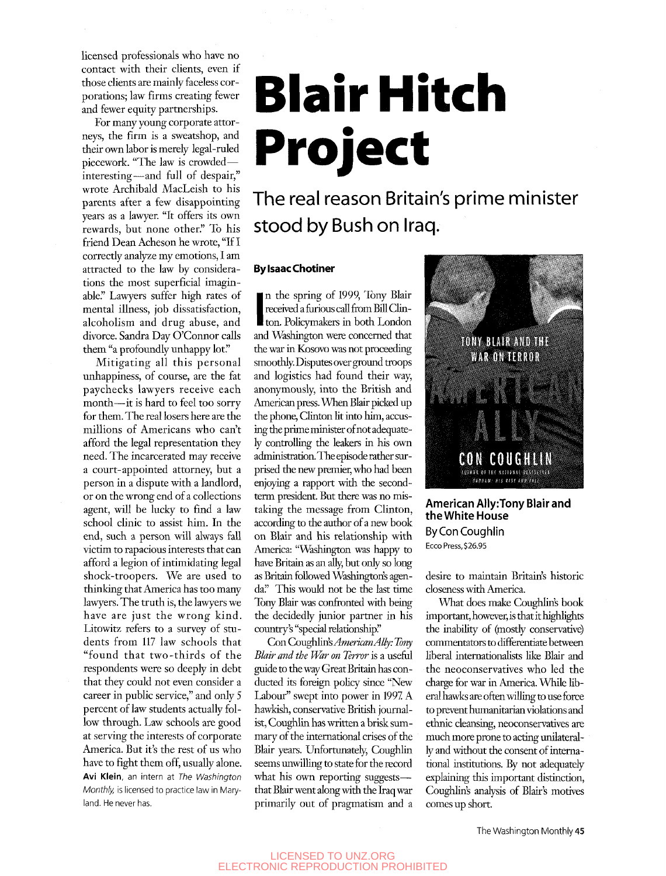licensed professionals who have no contact with their clients, even if those clients are mainly faceless corporations; law firms creating fewer and fewer equity partnerships.

For many young corporate attorneys, the firm is a sweatshop, and their own labor is merely legal-ruled piecework. "The law is crowded interesting—and full of despair," wrote Archibald MacLeish to his parents after a few disappointing years as a lawyer. "It offers its own rewards, but none other." To his friend Dean Acheson he wrote, "If I correctly analyze my emotions, I am attracted to the law by considerations the most superficial imaginable." Lawyers suffer high rates of mental illness, job dissatisfaction, alcoholism and drug abuse, and divorce. Sandra Day O'Connor calls them "a profoundly unhappy lot."

Mitigating all this personal unhappiness, of course, are the fat paychecks lawyers receive each month—it is hard to feel too sorry for them. The real losers here are the millions of Americans who can't afford the legal representation they need. The incarcerated may receive a court-appointed attorney, but a person in a dispute with a landlord, or on the wrong end of a collections agent, will be lucky to find a law school clinic to assist him. In the end, such a person will always fall victim to rapacious interests that can afford a legion of intimidating legal shock-troopers. We are used to thinking that America has too many lawyers. The truth is, the lawyers we have are just the wrong kind. Litowitz refers to a survey of students from 117 law schools that "found that two-thirds of the respondents were so deeply in debt that they could not even consider a career in public service," and only 5 percent of law students actually follow through. Law schools are good at serving the interests of corporate America. But it's the rest of us who have to fight them off, usually alone. Avi Klein, an intern at *The Washington Monthly,* is licensed to practice law in Maryland. He never has.

# **Blair Hitch Project**

### The real reason Britain's prime minister stood by Bush on Iraq.

#### **By Isaac Chotiner**

I received a funious can from Bin Chine In the spring of 1999, Tony Blair received a furious call from Bill Clinand Washington were concerned that the war in Kosovo was not proceeding smoothly. Disputes over ground troops and logistics had found their way, anonymously, into the British and American press. When Blair picked up the phone, Clinton lit into him, accusing the prime minister of not adequately controlling the leakers in his own administration. The episode rather surprised the new premier, who had been enjoying a rapport with the secondterm president. But there was no mistaking the message from Clinton, according to the author of a new book on Blair and his relationship with America: "Wishington was happy to have Britain as an ally, but only so long as Britain followed Washington's agenda." This would not be the last time Tony Blair was confronted with being the decidedly junior partner in his country's "special relationship."

Con Coughlin's *American Ally: Tony Blair and the War on Terror* is a usefiil guide to the way Great Britain has conducted its foreign policy since "New Labour" swept into power in 1997 A hawkish, conservative British journalist, Coughlin has written a brisk summary of the international crises of the Blair years. Unfortunately, Coughlin seems unwilling to state for the record what his own reporting suggests that Blair went along with the fraq war primarily out of pragmatism and a



#### **American Ally:Tony Blair and the Wliite House By Con Coughlin**  Ecco Press, \$26.95

desire to maintain Britain's historic closeness with America.

What does make Coughlin's book important, however, is that it highlights the inability of (mostly conservative) commentators to differentiate between liberal internationalists like Blair and the neoconservatives who led the charge for war in America. While liberal hawks are often willing to use force to prevent humanitarian violations and ethnic cleansing, neoconservatives are much more prone to acting unilaterally and without the consent of international institutions. By not adequately explaining this important distinction, Coughlin's analysis of Blair's motives comes up short.

The Washington Monthly **45**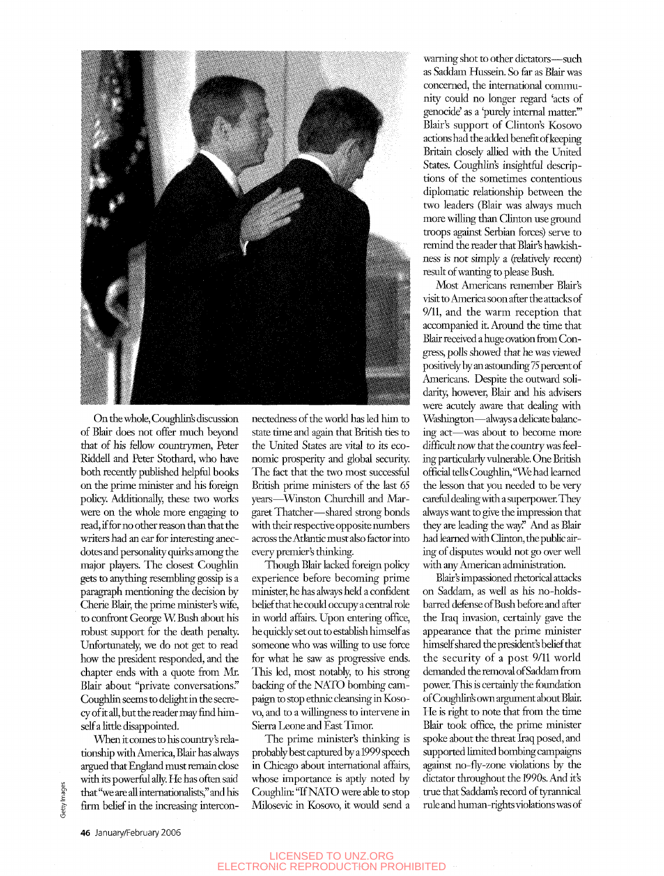

On the whole, Coughlin's discussion of Blair does not offer much beyond that of his fellow countrymen, Peter Riddell and Peter Stothard, who have both recently published helpfiil books on the prime minister and his foreign policy. Additionally, these two works were on the whole more engaging to read, if for no other reason than that the writers had an ear for interesting anecdotes and personality quirks among the major players. The closest Coughlin gets to anything resembling gossip is a paragraph mentioning the decision by Cherie Blair, the prime minister's wife, to confront George W Bush about his robust support for the death penalty. Unfortunately, we do not get to read how the president responded, and the chapter ends with a quote from Mr. Blair about "private conversations." Coughlin seems to delight in the secrecy of it all, but the reader may fmd himself a little disappointed.

When it comes to his country's relationship with America, Blair has always argued that England must remain close with its powerful ally. He has often said that "we are all internationalists," and his firm belief in the increasing intercon-

nectedness of the world has led him to state time and again that British ties to the United States are vital to its economic prosperity and global security. The fact that the two most successful British prime ministers of the last 65 years—^Winston Churchill and Margaret Thatcher—shared strong bonds with their respective opposite numbers across the Atlantic must also factor into every premier's thinking.

Though Blair lacked foreign policy experience before becoming prime minister, he has always held a confident belief that he could occupy a central role in world affairs. Upon entering office, he quickly set out to establish himself as someone who was willing to use force for what he saw as progressive ends. This led, most notably, to his strong backing of the NATO bombing campaign to stop ethnic cleansing in Kosovo, and to a willingness to intervene in Sierra Leone and East Timor

The prime minister's thinking is probably best captured by a 1999 speech in Chicago about international affairs, whose importance is aptly noted by Coughlin: "If NATO were able to stop Milosevic in Kosovo, it would send a

warning shot to other dictators—such as Saddam Hussein. So far as Blair was concerned, the international community could no longer regard 'acts of genocide' as a 'purely internal matter."' Blair's support of Clinton's Kosovo actions had the added benefit of keeping Britain closely allied with the United States. Coughlin's insightful descriptions of the sometimes contentious diplomatic relationship between the two leaders (Blair was always much more willing than Clinton use ground troops against Serbian forces) serve to remind the reader that Blair's hawkishness is not simply a (relatively recent) result of wanting to please Bush.

Most Americans remember Blair's visit to America soon after the attacks of 9/11, and the warm reception that accompanied it. Around the time that Blair received a huge ovation from Congress, polls showed that he was viewed positively by an astounding 75 percent of Americans. Despite the outward solidarity, however, Blair and his advisers were acutely aware that dealing with Washington—always a delicate balancing act—was about to become more difficult now that the country was feeling particularly vulnerable. One British official tells Coughlin, *"We* had learned the lesson that you needed to be very carefial dealing with a superpower They always want to give the impression that *\hey* are leading the way!' And as Blair had learned with Clinton, the public airing of disputes would not go over well with any American administration.

Blair's impassioned rhetorical attacks on Saddam, as well as his no-holdsbarred defense of Bush before and after the Iraq invasion, certainly gave the appearance that the prime minister himself shared the president's belief that the security of a post 9/11 world demanded the removal of Saddam from power. This is certainly the foundation of Coughlin's own argument about Blair. He is right to note that from the time Blair took office, the prime minister spoke about the threat Iraq posed, and supported limited bombing campaigns against no-fly-zone violations by the dictator throughout the 1990s. And it's true that Saddam's record of tyrannical rule and human-rights violations was of

#### LICENSED TO UNZ.ORG ELECTRONIC REPRODUCTION PROHIBITED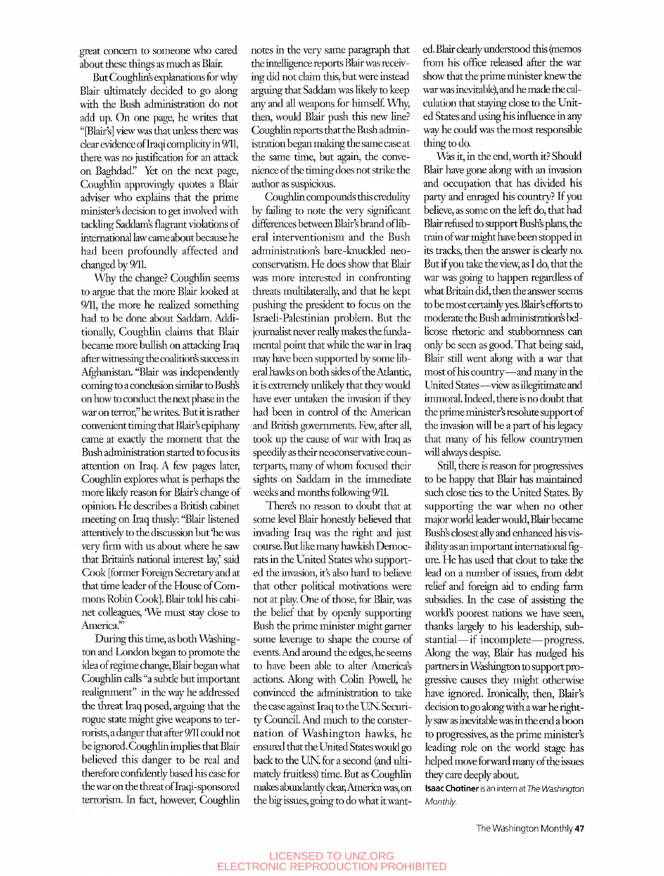great concern to someone who cared about these things as much as Blair.

But Coughlin's explanations for why Blair ultimately decided to go along with the Bush administration do not add up. On one page, he writes that "[Blair's] view was that tmless there was clear evidence of Iraqi complicity in 9/11, there was no justification for an attack on Baghdad." *Yet* on the next page, Coughlin approvingly quotes a Blair adviser who explains that the prime minister's decision to get involved with tackling Saddam's flagrant violations of international law came about because he had been profoundly affected and changed by 9/11.

Why the change? Coughlin seems to argue that the more Blair looked at 9/11, the more he realized something had to be done about Saddam. Additionally, Coughlin claims that Blair became more bullish on attacking Iraq after wimessing the coalition's success in Afghanistan. "Blair was independently coming to a conclusion similar to Bush's on how to conduct the next phase in the war on terror," he writes. But it is rather convenient timing that Blair's epiphany came at exactiy the moment that the Bush administration started to focus its attention on Iraq. A few pages later, Coughlin explores what is perhaps the more likely reason for Blair's change of opinion. He describes a British cabinet meeting on Iraq thusly: "Blair listened attentively to the discussion but "he was very firm with us about where he saw that Britain's national interest lay' said Cook [former Foreign Secretary and at that time leader of the House of Commons Robin Cook]. Blair told his cabinet colleagues, 'We must stay close to America."

During this time, as both Washington and London began to promote the idea of regime change, Blair began what Coughlin calls "a subtie but important realignment" in the way he addressed the threat Iraq posed, arguing that the rogue state might give weapons to terrorists, a danger that after 9/11 could not be ignored. Coughlin implies that Blair believed this danger to be real and therefore confidently based his case for the war on the threat of Iraqi-sponsored terrorism. In fact, however, Coughlin notes in the very same paragraph that the intelligence reports Blair was receiving did not claim this, but were instead arguing that Saddam was likely to keep any and all weapons for himself. Why, then, would Blair push this new line? Coughlin reports that the Bush administration began making the same case at the same time, but again, the convenience of the timing does not strike the author as suspicious.

Coughlin compounds this credulity by failing to note the very significant differences between Blair's brand of liberal interventionism and the Bush administration's bare-knuckled neoconservatism. He does show that Blair was more interested in confronting threats multilaterally, and that he kept pushing the president to focus on the Israeli-Palestinian problem. But the journalist never really makes the fimdamental point that while the war in Iraq may have been supported by some liberal hawks on both sides of the Atiantic, it is extremely unlikely that they would have ever untaken the invasion if they had been in control of the American and British governments. Few, after all, took up the cause of war with Iraq as speedily as their neoconservative counterparts, many of whom focused their sights on Saddam in the immediate weeks and months following 9/11.

There's no reason to doubt that at some level Blair honestiy believed that invading Iraq was the right and just course. But like many hawkish Democrats in the United States who supported the invasion, it's also hard to believe that other political motivations were not at play. One of those, for Blair, was the belief that by openly supporting Bush the prime minister might gamer some leverage to shape the course of events. And around the edges, he seems to have been able to alter America's actions. Along with Colin Powell, he convinced the administration to take the case against Iraq to the UN. Security Council. And much to the consternation of Washington hawks, he ensured that the United States would go back to the UN. for a second (and ultimately fruitless) time. But as Coughlin makes abundantly clear, America was, on the big issues, going to do what it wanted. Blair clearly understood this (memos from his office released after the war show that the prime minister knew the war was inevitable), and he made the calculation that staying close to the United States and using his influence in any way he could was the most responsible thing to do.

Was it, in the end, worth it? Should Blair have gone along with an invasion and occupation that has divided his party and enraged his country? If you believe, as some on the left do, that had Blair refiised to support Bush's plans, the train of war might have been stopped in its tracks, then the answer is clearly no. But if you take the view, as I do, that the war was going to happen regardless of what Britain did, then the answer seems to be most certainly yes. Blair's efforts to moderate the Bush administration's bellicose rhetoric and stubbornness can only be seen as good. That being said, Blair still went along with a war that most of his country—and many in the United States—view as illegitimate and immoral. Indeed, there is no doubt that the prime minister's resolute support of the invasion wiU be a part of his legacy that many of his fellow countrymen will always despise.

StiU, there is reason for progressives to be happy that Blair has maintained such close ties to the United States. By supporting the war when no other major world leader would, Blair became Bush's closest ally and enhanced his visibility as an important international figure. He has used that clout to take the lead on a number of issues, from debt relief and foreign aid to ending farm subsidies. In the case of assisting the world's poorest nations we have seen, thanks largely to his leadership, substantial—if incomplete—progress. Along the way, Blair has nudged his partners in W&shington to support progressive causes they might otherwise have ignored. Ironically, then, Blair's decision to go along with a war he rightly saw as inevitable was in the end a boon to progressives, as the prime minister's leading role on the world stage has helped move forward many of the issues they care deeply about.

Isaac Chotiner is an intern at *The Washington Monthly.* 

The Washington Monthly 47